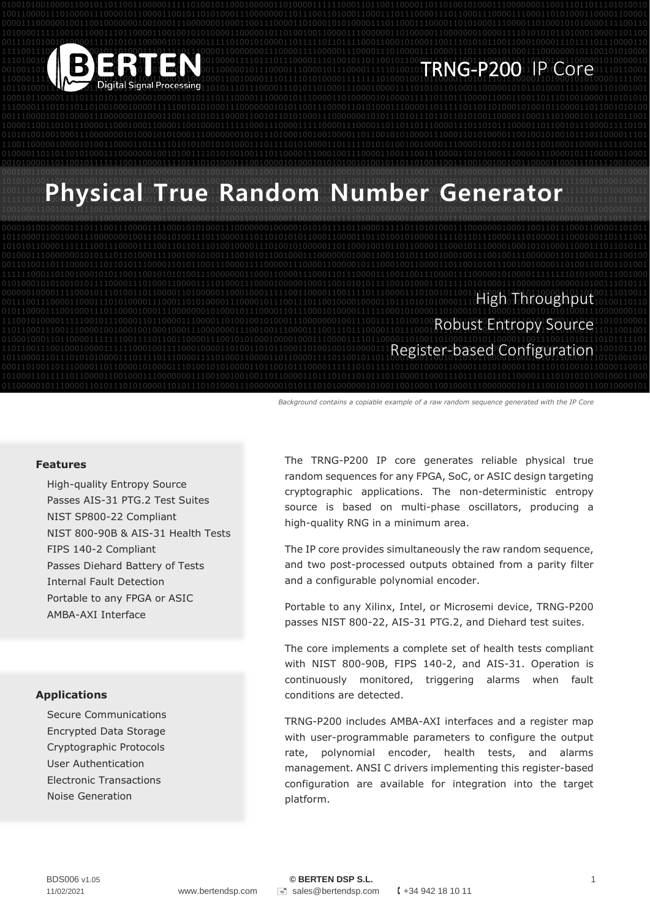

### 1110100101010101101100001101101101111010000100001111011101110000111010010110110010110000111011100111000011011001011011000001010000010 0010011011110110101100100010011011000101000110000010111000011100001011100001111101001010000110111010111000011100100011100001110110001 TRNG-P200 IP Core

#### 1010101001100001100101101010001110000000111001001110000111010010111110110011100101100001111010101010110100101101011111100110000110001 1001110000111000100110000110010001000100001110111101101110100100001110000001110100110110000111000011011000011100001111111001010000111 **100111000Physical True Random Number Generator 11111001010001111** 1001000110010000111001110111000011010000011111000000011000011111001101011001000011001101010100011100000001101110011100001110000001111

0010100001101100101111111001100001111011101010001110010000101000101010100101001011011010011001110010010010011000011000111011110010000

0101000101010010001110000000100001101110000110100110101000011001001011111010011000011001011011100001110001101011001001010001110111101

#### 0000001000011110001011101001101100001101000001100010001111100110000110011110111000011101001011001110000111010110000110110100111010011 0011100111000011000111010100001110001101010000111000010111001110110010000100001101110101010000111001110101111100110000110110100110110 High Throughput 1110010100001111100101110000110110000111000011010010010100011100000001001110011111010010000010110000111110110101000011101011010100001 1101100011100111000010010001001000100011100000001110010011100001110011101110000110111000101110110100010101100001111010001011011001001 Robust Entropy Source 1101100111001000100001111110001001111000100001101001101011000110100100101000011101101011111100001110100011101001101001100111001011101 Register-based Configuration 1011000011011101010100001110111101110000111101000110000110110000111101100101101100011001100101101011000011000101011100001110101001010

0001010010111011010011011000011110001010110010110000110111100100101100111010001100001100100001111110101100001110000101010001110000000 Background contains a copiable example of a raw random sequence generated with the IP Core

#### **Features**

High-quality Entropy Source Passes AIS-31 PTG.2 Test Suites NIST SP800-22 Compliant NIST 800-90B & AIS-31 Health Tests FIPS 140-2 Compliant Passes Diehard Battery of Tests Internal Fault Detection Portable to any FPGA or ASIC AMBA-AXI Interface

#### **Applications**

Secure Communications Encrypted Data Storage Cryptographic Protocols User Authentication Electronic Transactions Noise Generation

The TRNG-P200 IP core generates reliable physical true random sequences for any FPGA, SoC, or ASIC design targeting cryptographic applications. The non-deterministic entropy source is based on multi-phase oscillators, producing a high-quality RNG in a minimum area.

The IP core provides simultaneously the raw random sequence, and two post-processed outputs obtained from a parity filter and a configurable polynomial encoder.

Portable to any Xilinx, Intel, or Microsemi device, TRNG-P200 passes NIST 800-22, AIS-31 PTG.2, and Diehard test suites.

The core implements a complete set of health tests compliant with NIST 800-90B, FIPS 140-2, and AIS-31. Operation is continuously monitored, triggering alarms when fault conditions are detected.

TRNG-P200 includes AMBA-AXI interfaces and a register map with user-programmable parameters to configure the output rate, polynomial encoder, health tests, and alarms management. ANSI C drivers implementing this register-based configuration are available for integration into the target platform.